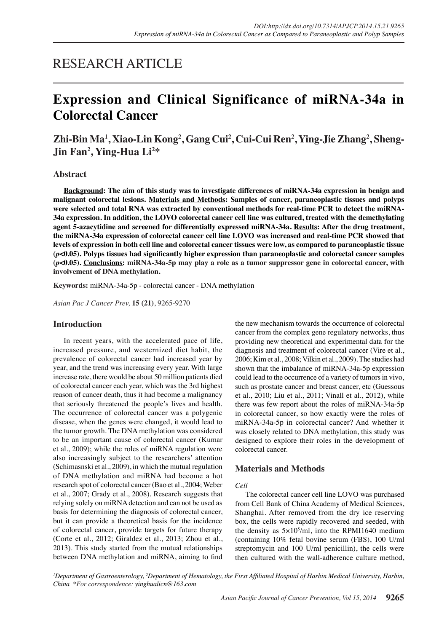## RESEARCH ARTICLE

# **Expression and Clinical Significance of miRNA-34a in Colorectal Cancer**

**Zhi-Bin Ma1 , Xiao-Lin Kong2 , Gang Cui2 , Cui-Cui Ren2 , Ying-Jie Zhang2 , Sheng-Jin Fan2 , Ying-Hua Li2 \***

## **Abstract**

**Background: The aim of this study was to investigate differences of miRNA-34a expression in benign and malignant colorectal lesions. Materials and Methods: Samples of cancer, paraneoplastic tissues and polyps were selected and total RNA was extracted by conventional methods for real-time PCR to detect the miRNA-34a expression. In addition, the LOVO colorectal cancer cell line was cultured, treated with the demethylating agent 5-azacytidine and screened for differentially expressed miRNA-34a. Results: After the drug treatment, the miRNA-34a expression of colorectal cancer cell line LOVO was increased and real-time PCR showed that levels of expression in both cell line and colorectal cancer tissues were low, as compared to paraneoplastic tissue (***p***<0.05). Polyps tissues had significantly higher expression than paraneoplastic and colorectal cancer samples (***p***<0.05). Conclusions: miRNA-34a-5p may play a role as a tumor suppressor gene in colorectal cancer, with involvement of DNA methylation.**

**Keywords:** miRNA-34a-5p - colorectal cancer - DNA methylation

*Asian Pac J Cancer Prev,* **15 (21)**, 9265-9270

#### **Introduction**

In recent years, with the accelerated pace of life, increased pressure, and westernized diet habit, the prevalence of colorectal cancer had increased year by year, and the trend was increasing every year. With large increase rate, there would be about 50 million patients died of colorectal cancer each year, which was the 3rd highest reason of cancer death, thus it had become a malignancy that seriously threatened the people's lives and health. The occurrence of colorectal cancer was a polygenic disease, when the genes were changed, it would lead to the tumor growth. The DNA methylation was considered to be an important cause of colorectal cancer (Kumar et al., 2009); while the roles of miRNA regulation were also increasingly subject to the researchers' attention (Schimasnski et al., 2009), in which the mutual regulation of DNA methylation and miRNA had become a hot research spot of colorectal cancer (Bao et al., 2004; Weber et al., 2007; Grady et al., 2008). Research suggests that relying solely on miRNA detection and can not be used as basis for determining the diagnosis of colorectal cancer, but it can provide a theoretical basis for the incidence of colorectal cancer, provide targets for future therapy (Corte et al., 2012; Giraldez et al., 2013; Zhou et al., 2013). This study started from the mutual relationships between DNA methylation and miRNA, aiming to find

the new mechanism towards the occurrence of colorectal cancer from the complex gene regulatory networks, thus providing new theoretical and experimental data for the diagnosis and treatment of colorectal cancer (Vire et al., 2006; Kim et al., 2008; Vilkin et al., 2009). The studies had shown that the imbalance of miRNA-34a-5p expression could lead to the occurrence of a variety of tumors in vivo, such as prostate cancer and breast cancer, etc (Guessous et al., 2010; Liu et al., 2011; Vinall et al., 2012), while there was few report about the roles of miRNA-34a-5p in colorectal cancer, so how exactly were the roles of miRNA-34a-5p in colorectal cancer? And whether it was closely related to DNA methylation, this study was designed to explore their roles in the development of colorectal cancer.

#### **Materials and Methods**

#### *Cell*

The colorectal cancer cell line LOVO was purchased from Cell Bank of China Academy of Medical Sciences, Shanghai. After removed from the dry ice reserving box, the cells were rapidly recovered and seeded, with the density as  $5 \times 10^5$ /ml, into the RPMI1640 medium (containing 10% fetal bovine serum (FBS), 100 U/ml streptomycin and 100 U/ml penicillin), the cells were then cultured with the wall-adherence culture method,

*1 Department of Gastroenterology, 2 Department of Hematology, the First Affiliated Hospital of Harbin Medical University, Harbin, China \*For correspondence: yinghualicn@163.com*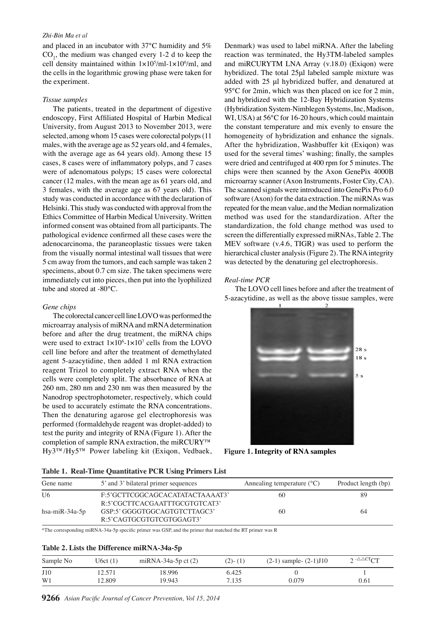#### *Zhi-Bin Ma et al*

and placed in an incubator with 37°C humidity and 5%  $CO<sub>2</sub>$ , the medium was changed every 1-2 d to keep the cell density maintained within  $1 \times 10^5$ /ml- $1 \times 10^6$ /ml, and the cells in the logarithmic growing phase were taken for the experiment.

#### *Tissue samples*

The patients, treated in the department of digestive endoscopy, First Affiliated Hospital of Harbin Medical University, from August 2013 to November 2013, were selected, among whom 15 cases were colorectal polyps (11 males, with the average age as 52 years old, and 4 females, with the average age as 64 years old). Among these 15 cases, 8 cases were of inflammatory polyps, and 7 cases were of adenomatous polyps; 15 cases were colorectal cancer (12 males, with the mean age as 61 years old, and 3 females, with the average age as 67 years old). This study was conducted in accordance with the declaration of Helsinki. This study was conducted with approval from the Ethics Committee of Harbin Medical University. Written informed consent was obtained from all participants. The pathological evidence confirmed all these cases were the adenocarcinoma, the paraneoplastic tissues were taken from the visually normal intestinal wall tissues that were 5 cm away from the tumors, and each sample was taken 2 specimens, about 0.7 cm size. The taken specimens were immediately cut into pieces, then put into the lyophilized tube and stored at -80°C.

#### *Gene chips*

The colorectal cancer cell line LOVO was performed the microarray analysis of miRNA and mRNA determination before and after the drug treatment, the miRNA chips were used to extract  $1 \times 10^6$ - $1 \times 10^7$  cells from the LOVO cell line before and after the treatment of demethylated agent 5-azacytidine, then added 1 ml RNA extraction reagent Trizol to completely extract RNA when the cells were completely split. The absorbance of RNA at 260 nm, 280 nm and 230 nm was then measured by the Nanodrop spectrophotometer, respectively, which could be used to accurately estimate the RNA concentrations. Then the denaturing agarose gel electrophoresis was performed (formaldehyde reagent was droplet-added) to test the purity and integrity of RNA (Figure 1). After the completion of sample RNA extraction, the miRCURY™ Hy3™/Hy5™ Power labeling kit (Exiqon, Vedbaek,

Denmark) was used to label miRNA. After the labeling reaction was terminated, the Hy3TM-labeled samples and miRCURYTM LNA Array (v.18.0) (Exiqon) were hybridized. The total 25μl labeled sample mixture was added with 25 μl hybridized buffer, and denatured at 95°C for 2min, which was then placed on ice for 2 min, and hybridized with the 12-Bay Hybridization Systems (Hybridization System-Nimblegen Systems, Inc, Madison, WI, USA) at 56°C for 16-20 hours, which could maintain the constant temperature and mix evenly to ensure the homogeneity of hybridization and enhance the signals. After the hybridization, Washbuffer kit (Exiqon) was used for the several times' washing; finally, the samples were dried and centrifuged at 400 rpm for 5 minutes. The chips were then scanned by the Axon GenePix 4000B microarray scanner (Axon Instruments, Foster City, CA). The scanned signals were introduced into GenePix Pro 6.0 software (Axon) for the data extraction. The miRNAs was repeated for the mean value, and the Median normalization method was used for the standardization. After the standardization, the fold change method was used to screen the differentially expressed miRNAs, Table 2. The MEV software (v.4.6, TIGR) was used to perform the hierarchical cluster analysis (Figure 2). The RNA integrity was detected by the denaturing gel electrophoresis.

#### *Real-time PCR*

The LOVO cell lines before and after the treatment of 5-azacytidine, as well as the above tissue samples, were



**Figure 1. Integrity of RNA samples**

| Table 1. Real-Time Quantitative PCR Using Primers List |                                                                  |                                       |                     |  |  |
|--------------------------------------------------------|------------------------------------------------------------------|---------------------------------------|---------------------|--|--|
| Gene name                                              | 5' and 3' bilateral primer sequences                             | Annealing temperature $({}^{\circ}C)$ | Product length (bp) |  |  |
| U <sub>6</sub>                                         | F:5'GCTTCGGCAGCACATATACTAAAAT3'<br>R:5'CGCTTCACGAATTTGCGTGTCAT3' | 60                                    | 89                  |  |  |
| hsa-mi $R-34a-5p$                                      | GSP:5' GGGGTGGCAGTGTCTTAGC3'<br>R:5'CAGTGCGTGTCGTGGAGT3'         | 60                                    | 64                  |  |  |

\*The corresponding miRNA-34a-5p specific primer was GSP, and the primer that matched the RT primer was R

#### **Table 2. Lists the Difference miRNA-34a-5p**

**9266** *Asian Pacific Journal of Cancer Prevention, Vol 15, 2014* 75.0 50.0  $100.0(2)-(1)$ **12.8 25.0 30.0 20.3 10.1**  $\begin{bmatrix} 10.1 & 0 \\ 0.0 & 79 \end{bmatrix}$  **20.3 51.1 30.0 31.3 54.2 46.8 56.3** Sample No U6ct (1) miRNA-34a-5p ct (2)  $100.0(2)-(1)$  (2-1) sample-  $(2-1)J10$  2<sup>- $\triangle$  $\triangle$ CTCT</sup> J10 12.571 18.996 6.425 **6.3 10.1**  $\beta$  **10.1 10.1 1** W1 12.809 19.943 7.135  $\begin{array}{|c|c|c|c|c|c|c|c|} \hline \text{0.61} \end{array}$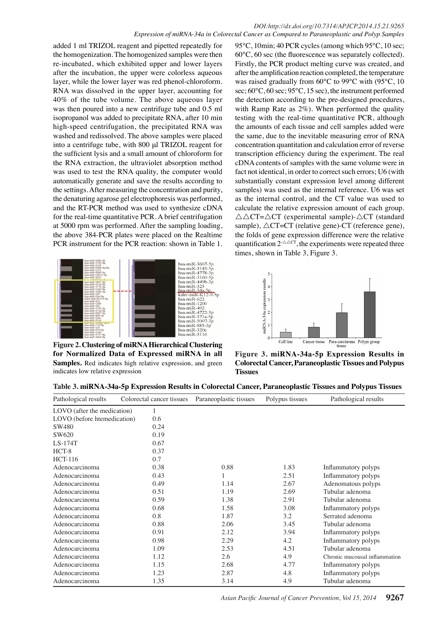added 1 ml TRIZOL reagent and pipetted repeatedly for the homogenization. The homogenized samples were then re-incubated, which exhibited upper and lower layers after the incubation, the upper were colorless aqueous layer, while the lower layer was red phenol-chloroform. RNA was dissolved in the upper layer, accounting for 40% of the tube volume. The above aqueous layer was then poured into a new centrifuge tube and 0.5 ml isopropanol was added to precipitate RNA, after 10 min high-speed centrifugation, the precipitated RNA was washed and redissolved. The above samples were placed into a centrifuge tube, with 800 μl TRIZOL reagent for the sufficient lysis and a small amount of chloroform for the RNA extraction, the ultraviolet absorption method was used to test the RNA quality, the computer would automatically generate and save the results according to the settings. After measuring the concentration and purity, the denaturing agarose gel electrophoresis was performed, and the RT-PCR method was used to synthesize cDNA for the real-time quantitative PCR. A brief centrifugation at 5000 rpm was performed. After the sampling loading, the above 384-PCR plates were placed on the Realtime PCR instrument for the PCR reaction: shown in Table 1.



**Figure 2. Clustering of miRNA Hierarchical Clustering for Normalized Data of Expressed miRNA in all**  Samples. Red indicates high relative expression, and green indicates low relative expression

95°C, 10min; 40 PCR cycles (among which 95°C, 10 sec; 60°C, 60 sec (the fluorescence was separately collected). Firstly, the PCR product melting curve was created, and after the amplification reaction completed, the temperature was raised gradually from 60°C to 99°C with (95°C, 10 sec; 60°C, 60 sec; 95°C, 15 sec), the instrument performed the detection according to the pre-designed procedures, with Ramp Rate as 2%). When performed the quality testing with the real-time quantitative PCR, although the amounts of each tissue and cell samples added were the same, due to the inevitable measuring error of RNA concentration quantitation and calculation error of reverse transcription efficiency during the experiment. The real cDNA contents of samples with the same volume were in fact not identical, in order to correct such errors; U6 (with substantially constant expression level among different samples) was used as the internal reference. U6 was set as the internal control, and the CT value was used to calculate the relative expression amount of each group.  $\triangle$   $\triangle$ CT= $\triangle$ CT (experimental sample)- $\triangle$ CT (standard sample),  $\triangle$ CT=CT (relative gene)-CT (reference gene), the folds of gene expression difference were the relative quantification  $2 \triangle^{\triangle C}$ , the experiments were repeated three times, shown in Table 3, Figure 3.



**Figure 3. miRNA-34a-5p Expression Results in Colorectal Cancer, Paraneoplastic Tissues and Polypus Tissues**

| Table 3. miRNA-34a-5p Expression Results in Colorectal Cancer, Paraneoplastic Tissues and Polypus Tissues |  |  |
|-----------------------------------------------------------------------------------------------------------|--|--|
|                                                                                                           |  |  |

| Pathological results        | Colorectal cancer tissues | Paraneoplastic tissues | Polypus tissues | Pathological results          |
|-----------------------------|---------------------------|------------------------|-----------------|-------------------------------|
| LOVO (after the medication) |                           |                        |                 |                               |
| LOVO (before htemedication) | 0.6                       |                        |                 |                               |
| SW480                       | 0.24                      |                        |                 |                               |
| SW620                       | 0.19                      |                        |                 |                               |
| $LS-174T$                   | 0.67                      |                        |                 |                               |
| HCT-8                       | 0.37                      |                        |                 |                               |
| <b>HCT-116</b>              | 0.7                       |                        |                 |                               |
| Adenocarcinoma              | 0.38                      | 0.88                   | 1.83            | Inflammatory polyps           |
| Adenocarcinoma              | 0.43                      | 1                      | 2.51            | Inflammatory polyps           |
| Adenocarcinoma              | 0.49                      | 1.14                   | 2.67            | Adenomatous polyps            |
| Adenocarcinoma              | 0.51                      | 1.19                   | 2.69            | Tubular adenoma               |
| Adenocarcinoma              | 0.59                      | 1.38                   | 2.91            | Tubular adenoma               |
| Adenocarcinoma              | 0.68                      | 1.58                   | 3.08            | Inflammatory polyps           |
| Adenocarcinoma              | 0.8                       | 1.87                   | 3.2             | Serrated adenoma              |
| Adenocarcinoma              | 0.88                      | 2.06                   | 3.45            | Tubular adenoma               |
| Adenocarcinoma              | 0.91                      | 2.12                   | 3.94            | Inflammatory polyps           |
| Adenocarcinoma              | 0.98                      | 2.29                   | 4.2             | Inflammatory polyps           |
| Adenocarcinoma              | 1.09                      | 2.53                   | 4.51            | Tubular adenoma               |
| Adenocarcinoma              | 1.12                      | 2.6                    | 4.9             | Chronic mucousal inflammation |
| Adenocarcinoma              | 1.15                      | 2.68                   | 4.77            | Inflammatory polyps           |
| Adenocarcinoma              | 1.23                      | 2.87                   | 4.8             | Inflammatory polyps           |
| Adenocarcinoma              | 1.35                      | 3.14                   | 4.9             | Tubular adenoma               |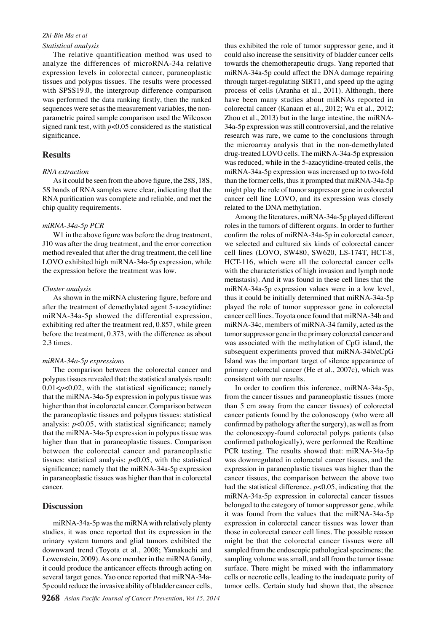#### *Zhi-Bin Ma et al Statistical analysis*

The relative quantification method was used to analyze the differences of microRNA-34a relative expression levels in colorectal cancer, paraneoplastic tissues and polypus tissues. The results were processed with SPSS19.0, the intergroup difference comparison was performed the data ranking firstly, then the ranked sequences were set as the measurement variables, the nonparametric paired sample comparison used the Wilcoxon signed rank test, with *p*<0.05 considered as the statistical significance.

## **Results**

## *RNA extraction*

As it could be seen from the above figure, the 28S, 18S, 5S bands of RNA samples were clear, indicating that the RNA purification was complete and reliable, and met the chip quality requirements.

## *miRNA-34a-5p PCR*

W1 in the above figure was before the drug treatment, J10 was after the drug treatment, and the error correction method revealed that after the drug treatment, the cell line LOVO exhibited high miRNA-34a-5p expression, while the expression before the treatment was low.

#### *Cluster analysis*

As shown in the miRNA clustering figure, before and after the treatment of demethylated agent 5-azacytidine: miRNA-34a-5p showed the differential expression, exhibiting red after the treatment red, 0.857, while green before the treatment, 0.373, with the difference as about 2.3 times.

#### *miRNA-34a-5p expressions*

The comparison between the colorectal cancer and polypus tissues revealed that: the statistical analysis result: 0.01<p<0.02, with the statistical significance; namely that the miRNA-34a-5p expression in polypus tissue was higher than that in colorectal cancer. Comparison between the paraneoplastic tissues and polypus tissues: statistical analysis:  $p<0.05$ , with statistical significance; namely that the miRNA-34a-5p expression in polypus tissue was higher than that in paraneoplastic tissues. Comparison between the colorectal cancer and paraneoplastic tissues: statistical analysis: *p*<0.05, with the statistical significance; namely that the miRNA-34a-5p expression in paraneoplastic tissues was higher than that in colorectal cancer.

## **Discussion**

miRNA-34a-5p was the miRNA with relatively plenty studies, it was once reported that its expression in the urinary system tumors and glial tumors exhibited the downward trend (Toyota et al., 2008; Yamakuchi and Lowenstein, 2009). As one member in the miRNA family, it could produce the anticancer effects through acting on several target genes. Yao once reported that miRNA-34a-5p could reduce the invasive ability of bladder cancer cells,

thus exhibited the role of tumor suppressor gene, and it could also increase the sensitivity of bladder cancer cells towards the chemotherapeutic drugs. Yang reported that miRNA-34a-5p could affect the DNA damage repairing through target-regulating SIRT1, and speed up the aging process of cells (Aranha et al., 2011). Although, there have been many studies about miRNAs reported in colorectal cancer (Kanaan et al., 2012; Wu et al., 2012; Zhou et al., 2013) but in the large intestine, the miRNA-34a-5p expression was still controversial, and the relative research was rare, we came to the conclusions through the microarray analysis that in the non-demethylated drug-treated LOVO cells. The miRNA-34a-5p expression was reduced, while in the 5-azacytidine-treated cells, the miRNA-34a-5p expression was increased up to two-fold than the former cells, thus it prompted that miRNA-34a-5p might play the role of tumor suppressor gene in colorectal cancer cell line LOVO, and its expression was closely related to the DNA methylation.

Among the literatures, miRNA-34a-5p played different roles in the tumors of different organs. In order to further confirm the roles of miRNA-34a-5p in colorectal cancer, we selected and cultured six kinds of colorectal cancer cell lines (LOVO, SW480, SW620, LS-174T, HCT-8, HCT-116, which were all the colorectal cancer cells with the characteristics of high invasion and lymph node metastasis). And it was found in these cell lines that the miRNA-34a-5p expression values were in a low level, thus it could be initially determined that miRNA-34a-5p played the role of tumor suppressor gene in colorectal cancer cell lines. Toyota once found that miRNA-34b and miRNA-34c, members of miRNA-34 family, acted as the tumor suppressor gene in the primary colorectal cancer and was associated with the methylation of CpG island, the subsequent experiments proved that miRNA-34b/cCpG Island was the important target of silence appearance of primary colorectal cancer (He et al., 2007c), which was consistent with our results.

In order to confirm this inference, miRNA-34a-5p, from the cancer tissues and paraneoplastic tissues (more than 5 cm away from the cancer tissues) of colorectal cancer patients found by the colonoscopy (who were all confirmed by pathology after the surgery), as well as from the colonoscopy-found colorectal polyps patients (also confirmed pathologically), were performed the Realtime PCR testing. The results showed that: miRNA-34a-5p was downregulated in colorectal cancer tissues, and the expression in paraneoplastic tissues was higher than the cancer tissues, the comparison between the above two had the statistical difference, *p*<0.05, indicating that the miRNA-34a-5p expression in colorectal cancer tissues belonged to the category of tumor suppressor gene, while it was found from the values that the miRNA-34a-5p expression in colorectal cancer tissues was lower than those in colorectal cancer cell lines. The possible reason might be that the colorectal cancer tissues were all sampled from the endoscopic pathological specimens; the sampling volume was small, and all from the tumor tissue surface. There might be mixed with the inflammatory cells or necrotic cells, leading to the inadequate purity of tumor cells. Certain study had shown that, the absence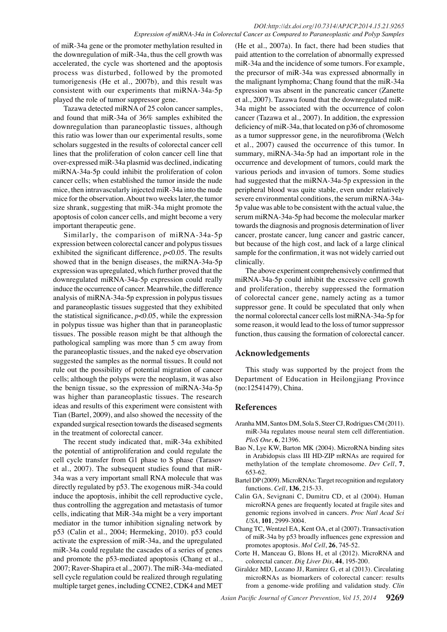of miR-34a gene or the promoter methylation resulted in the downregulation of miR-34a, thus the cell growth was accelerated, the cycle was shortened and the apoptosis process was disturbed, followed by the promoted tumorigenesis (He et al., 2007b), and this result was consistent with our experiments that miRNA-34a-5p played the role of tumor suppressor gene.

Tazawa detected miRNA of 25 colon cancer samples, and found that miR-34a of 36% samples exhibited the downregulation than paraneoplastic tissues, although this ratio was lower than our experimental results, some scholars suggested in the results of colorectal cancer cell lines that the proliferation of colon cancer cell line that over-expressed miR-34a plasmid was declined, indicating miRNA-34a-5p could inhibit the proliferation of colon cancer cells; when established the tumor inside the nude mice, then intravascularly injected miR-34a into the nude mice for the observation. About two weeks later, the tumor size shrank, suggesting that miR-34a might promote the apoptosis of colon cancer cells, and might become a very important therapeutic gene.

Similarly, the comparison of miRNA-34a-5p expression between colorectal cancer and polypus tissues exhibited the significant difference, *p*<0.05. The results showed that in the benign diseases, the miRNA-34a-5p expression was upregulated, which further proved that the downregulated miRNA-34a-5p expression could really induce the occurrence of cancer. Meanwhile, the difference analysis of miRNA-34a-5p expression in polypus tissues and paraneoplastic tissues suggested that they exhibited the statistical significance,  $p<0.05$ , while the expression in polypus tissue was higher than that in paraneoplastic tissues. The possible reason might be that although the pathological sampling was more than 5 cm away from the paraneoplastic tissues, and the naked eye observation suggested the samples as the normal tissues. It could not rule out the possibility of potential migration of cancer cells; although the polyps were the neoplasm, it was also the benign tissue, so the expression of miRNA-34a-5p was higher than paraneoplastic tissues. The research ideas and results of this experiment were consistent with Tian (Bartel, 2009), and also showed the necessity of the expanded surgical resection towards the diseased segments in the treatment of colorectal cancer.

The recent study indicated that, miR-34a exhibited the potential of antiproliferation and could regulate the cell cycle transfer from G1 phase to S phase (Tarasov et al., 2007). The subsequent studies found that miR-34a was a very important small RNA molecule that was directly regulated by p53. The exogenous miR-34a could induce the apoptosis, inhibit the cell reproductive cycle, thus controlling the aggregation and metastasis of tumor cells, indicating that MiR-34a might be a very important mediator in the tumor inhibition signaling network by p53 (Calin et al., 2004; Hermeking, 2010). p53 could activate the expression of miR-34a, and the upregulated miR-34a could regulate the cascades of a series of genes and promote the p53-mediated apoptosis (Chang et al., 2007; Raver-Shapira et al., 2007). The miR-34a-mediated sell cycle regulation could be realized through regulating multiple target genes, including CCNE2, CDK4 and MET

(He et al., 2007a). In fact, there had been studies that paid attention to the correlation of abnormally expressed miR-34a and the incidence of some tumors. For example, the precursor of miR-34a was expressed abnormally in the malignant lymphoma; Chang found that the miR-34a expression was absent in the pancreatic cancer (Zanette et al., 2007). Tazawa found that the downregulated miR-34a might be associated with the occurrence of colon cancer (Tazawa et al., 2007). In addition, the expression deficiency of miR-34a, that located on p36 of chromosome as a tumor suppressor gene, in the neurofibroma (Welch et al., 2007) caused the occurrence of this tumor. In summary, miRNA-34a-5p had an important role in the occurrence and development of tumors, could mark the various periods and invasion of tumors. Some studies had suggested that the miRNA-34a-5p expression in the peripheral blood was quite stable, even under relatively severe environmental conditions, the serum miRNA-34a-5p value was able to be consistent with the actual value, the serum miRNA-34a-5p had become the molecular marker towards the diagnosis and prognosis determination of liver cancer, prostate cancer, lung cancer and gastric cancer, but because of the high cost, and lack of a large clinical sample for the confirmation, it was not widely carried out clinically.

The above experiment comprehensively confirmed that miRNA-34a-5p could inhibit the excessive cell growth and proliferation, thereby suppressed the formation of colorectal cancer gene, namely acting as a tumor suppressor gene. It could be speculated that only when the normal colorectal cancer cells lost miRNA-34a-5p for some reason, it would lead to the loss of tumor suppressor function, thus causing the formation of colorectal cancer.

## **Acknowledgements**

This study was supported by the project from the Department of Education in Heilongjiang Province (no:12541479), China.

## **References**

- Aranha MM, Santos DM, Sola S, Steer CJ, Rodrigues CM (2011). miR-34a regulates mouse neural stem cell differentiation. *PloS One*, **6**, 21396.
- Bao N, Lye KW, Barton MK (2004). MicroRNA binding sites in Arabidopsis class III HD-ZIP mRNAs are required for methylation of the template chromosome. *Dev Cell*, **7**, 653-62.
- Bartel DP (2009). MicroRNAs: Target recognition and regulatory functions. *Cell*, **136**, 215-33.
- Calin GA, Sevignani C, Dumitru CD, et al (2004). Human microRNA genes are frequently located at fragile sites and genomic regions involved in cancers. *Proc Natl Acad Sci USA*, **101**, 2999-3004.
- Chang TC, Wentzel EA, Kent OA, et al (2007). Transactivation of miR-34a by p53 broadly influences gene expression and promotes apoptosis. *Mol Cell*, **26**, 745-52.
- Corte H, Manceau G, Blons H, et al (2012). MicroRNA and colorectal cancer. *Dig Liver Dis*, **44**, 195-200.
- Giraldez MD, Lozano JJ, Ramirez G, et al (2013). Circulating microRNAs as biomarkers of colorectal cancer: results from a genome-wide profiling and validation study. *Clin*